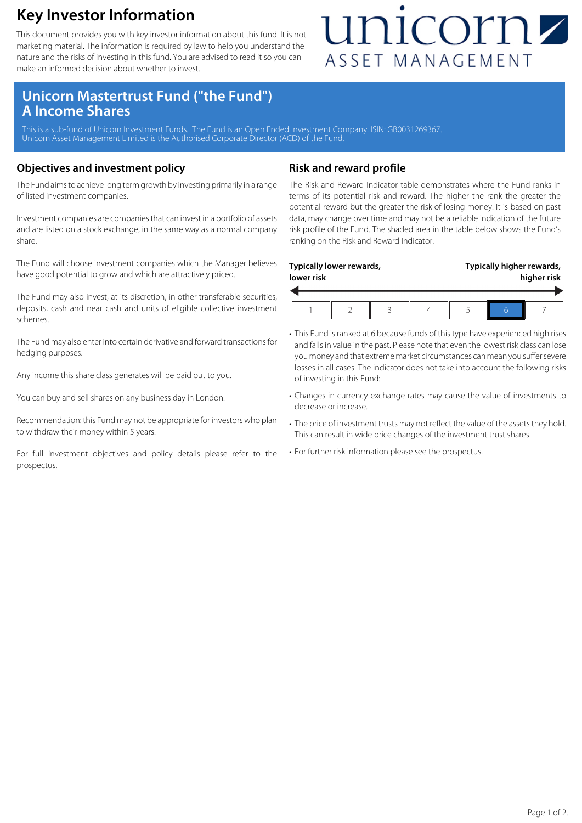### **Key Investor Information**

This document provides you with key investor information about this fund. It is not marketing material. The information is required by law to help you understand the nature and the risks of investing in this fund. You are advised to read it so you can make an informed decision about whether to invest.

## unicornz ASSET MANAGEMENT

### **Unicorn Mastertrust Fund ("the Fund") A Income Shares**

This is a sub-fund of Unicorn Investment Funds. The Fund is an Open Ended Investment Company. ISIN: GB0031269367. Unicorn Asset Management Limited is the Authorised Corporate Director (ACD) of the Fund.

#### **Objectives and investment policy**

The Fund aims to achieve long term growth by investing primarily in a range of listed investment companies.

Investment companies are companies that can invest in a portfolio of assets and are listed on a stock exchange, in the same way as a normal company share.

The Fund will choose investment companies which the Manager believes have good potential to grow and which are attractively priced.

The Fund may also invest, at its discretion, in other transferable securities, deposits, cash and near cash and units of eligible collective investment schemes.

The Fund may also enter into certain derivative and forward transactions for hedging purposes.

Any income this share class generates will be paid out to you.

You can buy and sell shares on any business day in London.

Recommendation: this Fund may not be appropriate for investors who plan to withdraw their money within 5 years.

For full investment objectives and policy details please refer to the prospectus.

#### **Risk and reward profile**

The Risk and Reward Indicator table demonstrates where the Fund ranks in terms of its potential risk and reward. The higher the rank the greater the potential reward but the greater the risk of losing money. It is based on past data, may change over time and may not be a reliable indication of the future risk profile of the Fund. The shaded area in the table below shows the Fund's ranking on the Risk and Reward Indicator.

| lower risk | Typically lower rewards, |  | Typically higher rewards,<br>higher risk |  |  |
|------------|--------------------------|--|------------------------------------------|--|--|
|            |                          |  |                                          |  |  |

- This Fund is ranked at 6 because funds of this type have experienced high rises and falls in value in the past. Please note that even the lowest risk class can lose you money and that extreme market circumstances can mean you suffer severe losses in all cases. The indicator does not take into account the following risks of investing in this Fund:
- Changes in currency exchange rates may cause the value of investments to decrease or increase.
- The price of investment trusts may not reflect the value of the assets they hold. This can result in wide price changes of the investment trust shares.
- For further risk information please see the prospectus.